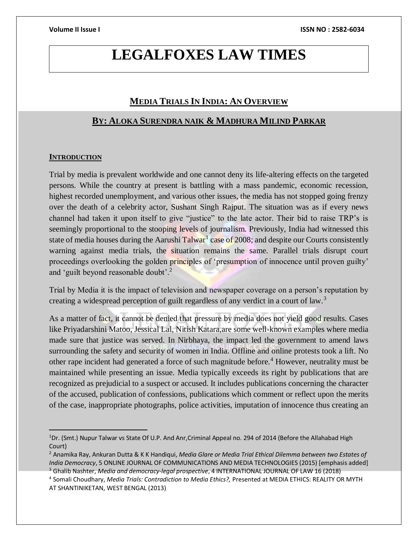# **LEGALFOXES LAW TIMES**

# **MEDIA TRIALS IN INDIA: AN OVERVIEW**

# **BY: ALOKA SURENDRA NAIK & MADHURA MILIND PARKAR**

### **INTRODUCTION**

 $\overline{a}$ 

Trial by media is prevalent worldwide and one cannot deny its life-altering effects on the targeted persons. While the country at present is battling with a mass pandemic, economic recession, highest recorded unemployment, and various other issues, the media has not stopped going frenzy over the death of a celebrity actor, Sushant Singh Rajput. The situation was as if every news channel had taken it upon itself to give "justice" to the late actor. Their bid to raise TRP's is seemingly proportional to the stooping levels of journalism. Previously, India had witnessed this state of media houses during the Aarushi Talwar<sup>1</sup> case of 2008; and despite our Courts consistently warning against media trials, the situation remains the same. Parallel trials disrupt court proceedings overlooking the golden principles of 'presumption of innocence until proven guilty' and 'guilt beyond reasonable doubt'.<sup>2</sup>

Trial by Media it is the impact of television and newspaper coverage on a person's reputation by creating a widespread perception of guilt regardless of any verdict in a court of law.<sup>3</sup>

As a matter of fact, it cannot be denied that pressure by media does not yield good results. Cases like Priyadarshini Matoo, Jessical Lal, Nitish Katara,are some well-known examples where media made sure that justice was served. In Nirbhaya, the impact led the government to amend laws surrounding the safety and security of women in India. Offline and online protests took a lift. No other rape incident had generated a force of such magnitude before.<sup>4</sup> However, neutrality must be maintained while presenting an issue. Media typically exceeds its right by publications that are recognized as prejudicial to a suspect or accused. It includes publications concerning the character of the accused, publication of confessions, publications which comment or reflect upon the merits of the case, inappropriate photographs, police activities, imputation of innocence thus creating an

<sup>1</sup>Dr. (Smt.) Nupur Talwar vs State Of U.P. And Anr,Criminal Appeal no. 294 of 2014 (Before the Allahabad High Court)

<sup>2</sup> Anamika Ray, Ankuran Dutta & K K Handiqui, *Media Glare or Media Trial Ethical Dilemma between two Estates of India Democracy*, 5 ONLINE JOURNAL OF COMMUNICATIONS AND MEDIA TECHNOLOGIES (2015) [emphasis added] <sup>3</sup> Ghalib Nashter, *Media and democracy-legal prospective*, 4 INTERNATIONAL JOURNAL OF LAW 16 (2018)

<sup>4</sup> Somali Choudhary, *Media Trials: Contradiction to Media Ethics?,* Presented at MEDIA ETHICS: REALITY OR MYTH AT SHANTINIKETAN, WEST BENGAL (2013)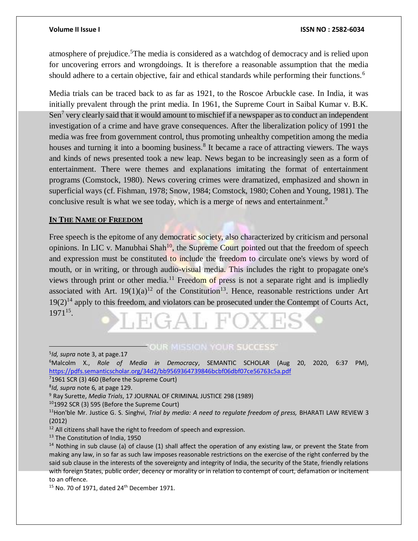atmosphere of prejudice.<sup>5</sup>The media is considered as a watchdog of democracy and is relied upon for uncovering errors and wrongdoings. It is therefore a reasonable assumption that the media should adhere to a certain objective, fair and ethical standards while performing their functions.<sup>6</sup>

Media trials can be traced back to as far as 1921, to the Roscoe Arbuckle case. In India, it was initially prevalent through the print media. In 1961, the Supreme Court in Saibal Kumar v. B.K. Sen<sup>7</sup> very clearly said that it would amount to mischief if a newspaper as to conduct an independent investigation of a crime and have grave consequences. After the liberalization policy of 1991 the media was free from government control, thus promoting unhealthy competition among the media houses and turning it into a booming business.<sup>8</sup> It became a race of attracting viewers. The ways and kinds of news presented took a new leap. News began to be increasingly seen as a form of entertainment. There were themes and explanations imitating the format of entertainment programs (Comstock, 1980). News covering crimes were dramatized, emphasized and shown in superficial ways (cf. Fishman, 1978; Snow, 1984; Comstock, 1980; Cohen and Young, 1981). The conclusive result is what we see today, which is a merge of news and entertainment.<sup>9</sup>

# **IN THE NAME OF FREEDOM**

Free speech is the epitome of any democratic society, also characterized by criticism and personal opinions. In LIC v. Manubhai Shah<sup>10</sup>, the Supreme Court pointed out that the freedom of speech and expression must be constituted to include the freedom to circulate one's views by word of mouth, or in writing, or through audio-visual media. This includes the right to propagate one's views through print or other media.<sup>11</sup> Freedom of press is not a separate right and is impliedly associated with Art.  $19(1)(a)^{12}$  of the Constitution<sup>13</sup>. Hence, reasonable restrictions under Art  $19(2)^{14}$  apply to this freedom, and violators can be prosecuted under the Contempt of Courts Act, 1971<sup>15</sup> .

# **FOUR MISSION YOUR SUCCESS'**

 $\overline{a}$ 

 $15$  No. 70 of 1971, dated 24<sup>th</sup> December 1971.

<sup>5</sup> *Id, supra* note 3, at page.17 <sup>6</sup>Malcolm X., *Role of Media in Democracy*, SEMANTIC SCHOLAR (Aug 20, 2020, 6:37 PM), <https://pdfs.semanticscholar.org/34d2/bb9569364739846bcbf06dbf07ce56763c5a.pdf>

<sup>7</sup>1961 SCR (3) 460 (Before the Supreme Court)

<sup>8</sup> *Id, supra* note 6*,* at page 129.

<sup>9</sup> Ray Surette, *Media Trials*, 17 JOURNAL OF CRIMINAL JUSTICE 298 (1989)

<sup>10</sup>1992 SCR (3) 595 (Before the Supreme Court)

<sup>11</sup>Hon'ble Mr. Justice G. S. Singhvi, *Trial by media: A need to regulate freedom of press,* BHARATI LAW REVIEW 3 (2012)

 $12$  All citizens shall have the right to freedom of speech and expression.

<sup>&</sup>lt;sup>13</sup> The Constitution of India, 1950

 $14$  Nothing in sub clause (a) of clause (1) shall affect the operation of any existing law, or prevent the State from making any law, in so far as such law imposes reasonable restrictions on the exercise of the right conferred by the said sub clause in the interests of the sovereignty and integrity of India, the security of the State, friendly relations with foreign States, public order, decency or morality or in relation to contempt of court, defamation or incitement to an offence.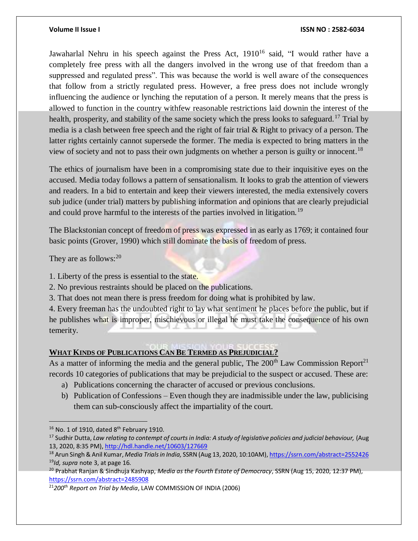Jawaharlal Nehru in his speech against the Press Act,  $1910^{16}$  said, "I would rather have a completely free press with all the dangers involved in the wrong use of that freedom than a suppressed and regulated press". This was because the world is well aware of the consequences that follow from a strictly regulated press. However, a free press does not include wrongly influencing the audience or lynching the reputation of a person. It merely means that the press is allowed to function in the country withfew reasonable restrictions laid downin the interest of the health, prosperity, and stability of the same society which the press looks to safeguard.<sup>17</sup> Trial by media is a clash between free speech and the right of fair trial & Right to privacy of a person. The latter rights certainly cannot supersede the former. The media is expected to bring matters in the view of society and not to pass their own judgments on whether a person is guilty or innocent.<sup>18</sup>

The ethics of journalism have been in a compromising state due to their inquisitive eyes on the accused. Media today follows a pattern of sensationalism. It looks to grab the attention of viewers and readers. In a bid to entertain and keep their viewers interested, the media extensively covers sub judice (under trial) matters by publishing information and opinions that are clearly prejudicial and could prove harmful to the interests of the parties involved in litigation.<sup>19</sup>

The Blackstonian concept of freedom of press was expressed in as early as 1769; it contained four basic points (Grover, 1990) which still dominate the basis of freedom of press.

They are as follows:  $20$ 

- 1. Liberty of the press is essential to the state.
- 2. No previous restraints should be placed on the publications.
- 3. That does not mean there is press freedom for doing what is prohibited by law.

4. Every freeman has the undoubted right to lay what sentiment he places before the public, but if he publishes what is improper, mischievous or illegal he must take the consequence of his own temerity.

# **WHAT KINDS OF PUBLICATIONS CAN BE TERMED AS PREJUDICIAL?**

As a matter of informing the media and the general public, The  $200<sup>th</sup>$  Law Commission Report<sup>21</sup> records 10 categories of publications that may be prejudicial to the suspect or accused. These are:

- a) Publications concerning the character of accused or previous conclusions.
- b) Publication of Confessions Even though they are inadmissible under the law, publicising them can sub-consciously affect the impartiality of the court.

 $16$  No. 1 of 1910, dated  $8<sup>th</sup>$  February 1910.

<sup>&</sup>lt;sup>17</sup> Sudhir Dutta, *Law relating to contempt of courts in India: A study of legislative policies and judicial behaviour, (Aug)* 13, 2020, 8:35 PM)[, http://hdl.handle.net/10603/127669](http://hdl.handle.net/10603/127669)

<sup>18</sup> Arun Singh & Anil Kumar, *Media Trials in India,* SSRN (Aug 13, 2020, 10:10AM)[, https://ssrn.com/abstract=2552426](https://ssrn.com/abstract=2552426) <sup>19</sup>*Id, supra* note 3, at page 16.

<sup>20</sup> Prabhat Ranjan & Sindhuja Kashyap, *Media as the Fourth Estate of Democracy*, SSRN (Aug 15, 2020, 12:37 PM), <https://ssrn.com/abstract=2485908>

<sup>21</sup>*200th Report on Trial by Media*, LAW COMMISSION OF INDIA (2006)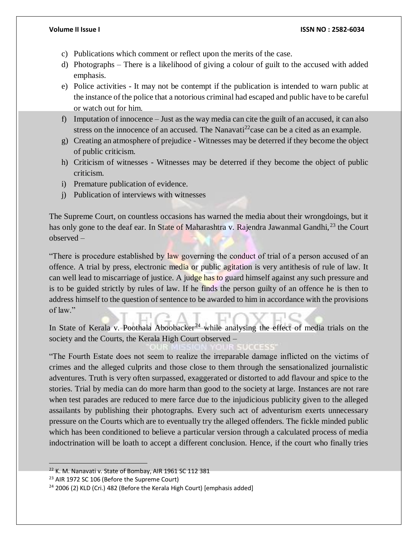- c) Publications which comment or reflect upon the merits of the case.
- d) Photographs There is a likelihood of giving a colour of guilt to the accused with added emphasis.
- e) Police activities It may not be contempt if the publication is intended to warn public at the instance of the police that a notorious criminal had escaped and public have to be careful or watch out for him.
- f) Imputation of innocence Just as the way media can cite the guilt of an accused, it can also stress on the innocence of an accused. The Nanavati<sup>22</sup>case can be a cited as an example.
- g) Creating an atmosphere of prejudice Witnesses may be deterred if they become the object of public criticism.
- h) Criticism of witnesses Witnesses may be deterred if they become the object of public criticism.
- i) Premature publication of evidence.
- j) Publication of interviews with witnesses

The Supreme Court, on countless occasions has warned the media about their wrongdoings, but it has only gone to the deaf ear. In State of Maharashtra v. Rajendra Jawanmal Gandhi,<sup>23</sup> the Court observed –

There is procedure established by law governing the conduct of trial of a person accused of an offence. A trial by press, electronic media or public agitation is very antithesis of rule of law. It can well lead to miscarriage of justice. A judge has to guard himself against any such pressure and is to be guided strictly by rules of law. If he finds the person guilty of an offence he is then to address himself to the question of sentence to be awarded to him in accordance with the provisions of law."

In State of Kerala v. Poothala Aboobacker<sup>24</sup> while analysing the effect of media trials on the society and the Courts, the Kerala High Court observed –

"The Fourth Estate does not seem to realize the irreparable damage inflicted on the victims of crimes and the alleged culprits and those close to them through the sensationalized journalistic adventures. Truth is very often surpassed, exaggerated or distorted to add flavour and spice to the stories. Trial by media can do more harm than good to the society at large. Instances are not rare when test parades are reduced to mere farce due to the injudicious publicity given to the alleged assailants by publishing their photographs. Every such act of adventurism exerts unnecessary pressure on the Courts which are to eventually try the alleged offenders. The fickle minded public which has been conditioned to believe a particular version through a calculated process of media indoctrination will be loath to accept a different conclusion. Hence, if the court who finally tries

<sup>&</sup>lt;sup>22</sup> K. M. Nanavati v. State of Bombay, AIR 1961 SC 112 381

<sup>&</sup>lt;sup>23</sup> AIR 1972 SC 106 (Before the Supreme Court)

<sup>&</sup>lt;sup>24</sup> 2006 (2) KLD (Cri.) 482 (Before the Kerala High Court) [emphasis added]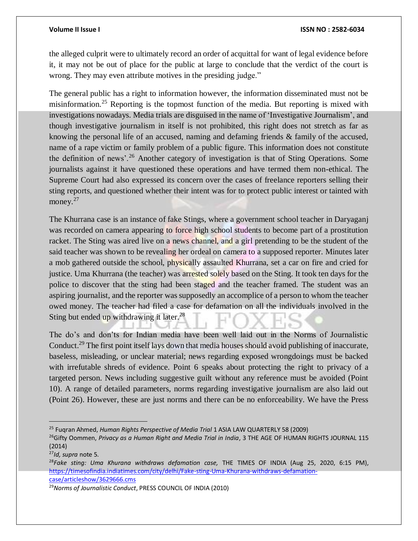the alleged culprit were to ultimately record an order of acquittal for want of legal evidence before it, it may not be out of place for the public at large to conclude that the verdict of the court is wrong. They may even attribute motives in the presiding judge."

The general public has a right to information however, the information disseminated must not be misinformation.<sup>25</sup> Reporting is the topmost function of the media. But reporting is mixed with investigations nowadays. Media trials are disguised in the name of 'Investigative Journalism', and though investigative journalism in itself is not prohibited, this right does not stretch as far as knowing the personal life of an accused, naming and defaming friends  $\&$  family of the accused, name of a rape victim or family problem of a public figure. This information does not constitute the definition of news'.<sup>26</sup> Another category of investigation is that of Sting Operations. Some journalists against it have questioned these operations and have termed them non-ethical. The Supreme Court had also expressed its concern over the cases of freelance reporters selling their sting reports, and questioned whether their intent was for to protect public interest or tainted with money.<sup>27</sup>

The Khurrana case is an instance of fake Stings, where a government school teacher in Daryaganj was recorded on camera appearing to force high school students to become part of a prostitution racket. The Sting was aired live on a news channel, and a girl pretending to be the student of the said teacher was shown to be revealing her ordeal on camera to a supposed reporter. Minutes later a mob gathered outside the school, physically assaulted Khurrana, set a car on fire and cried for justice. Uma Khurrana (the teacher) was arrested solely based on the Sting. It took ten days for the police to discover that the sting had been staged and the teacher framed. The student was an aspiring journalist, and the reporter was supposedly an accomplice of a person to whom the teacher owed money. The teacher had filed a case for defamation on all the individuals involved in the Sting but ended up withdrawing it later.<sup>28</sup>

The do's and don'ts for Indian media have been well laid out in the Norms of Journalistic Conduct.<sup>29</sup> The first point itself lays down that media houses should avoid publishing of inaccurate, baseless, misleading, or unclear material; news regarding exposed wrongdoings must be backed with irrefutable shreds of evidence. Point 6 speaks about protecting the right to privacy of a targeted person. News including suggestive guilt without any reference must be avoided (Point 10). A range of detailed parameters, norms regarding investigative journalism are also laid out (Point 26). However, these are just norms and there can be no enforceability. We have the Press

<sup>25</sup> Fuqran Ahmed, *Human Rights Perspective of Media Trial* 1 ASIA LAW QUARTERLY 58 (2009)

<sup>&</sup>lt;sup>26</sup>Gifty Oommen, Privacy as a Human Right and Media Trial in India, 3 THE AGE OF HUMAN RIGHTS JOURNAL 115 (2014)

<sup>27</sup>*Id, supra* note 5.

<sup>28</sup>*Fake sting: Uma Khurana withdraws defamation case,* THE TIMES OF INDIA (Aug 25, 2020, 6:15 PM), [https://timesofindia.indiatimes.com/city/delhi/Fake-sting-Uma-Khurana-withdraws-defamation](https://timesofindia.indiatimes.com/city/delhi/Fake-sting-Uma-Khurana-withdraws-defamation-case/articleshow/3629666.cms)[case/articleshow/3629666.cms](https://timesofindia.indiatimes.com/city/delhi/Fake-sting-Uma-Khurana-withdraws-defamation-case/articleshow/3629666.cms)

<sup>29</sup>*Norms of Journalistic Conduct*, PRESS COUNCIL OF INDIA (2010)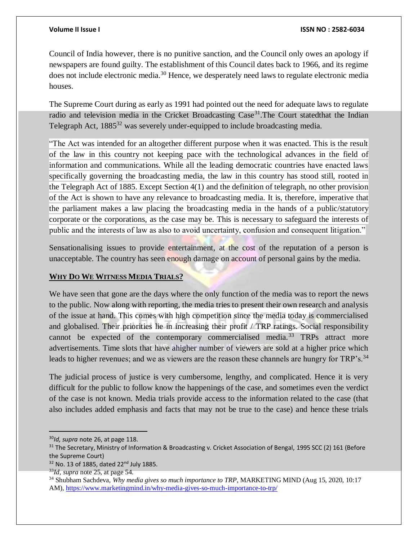Council of India however, there is no punitive sanction, and the Council only owes an apology if newspapers are found guilty. The establishment of this Council dates back to 1966, and its regime does not include electronic media.<sup>30</sup> Hence, we desperately need laws to regulate electronic media houses.

The Supreme Court during as early as 1991 had pointed out the need for adequate laws to regulate radio and television media in the Cricket Broadcasting Case<sup>31</sup>. The Court statedthat the Indian Telegraph Act, 1885<sup>32</sup> was severely under-equipped to include broadcasting media.

"The Act was intended for an altogether different purpose when it was enacted. This is the result of the law in this country not keeping pace with the technological advances in the field of information and communications. While all the leading democratic countries have enacted laws specifically governing the broadcasting media, the law in this country has stood still, rooted in the Telegraph Act of 1885. Except Section 4(1) and the definition of telegraph, no other provision of the Act is shown to have any relevance to broadcasting media. It is, therefore, imperative that the parliament makes a law placing the broadcasting media in the hands of a public/statutory corporate or the corporations, as the case may be. This is necessary to safeguard the interests of public and the interests of law as also to avoid uncertainty, confusion and consequent litigation."

Sensationalising issues to provide entertainment, at the cost of the reputation of a person is unacceptable. The country has seen enough damage on account of personal gains by the media.

# **WHY DO WE WITNESS MEDIA TRIALS?**

We have seen that gone are the days where the only function of the media was to report the news to the public. Now along with reporting, the media tries to present their own research and analysis of the issue at hand. This comes with high competition since the media today is commercialised and globalised. Their priorities lie in increasing their profit / TRP ratings. Social responsibility cannot be expected of the contemporary commercialised media.<sup>33</sup> TRPs attract more advertisements. Time slots that have ahigher number of viewers are sold at a higher price which leads to higher revenues; and we as viewers are the reason these channels are hungry for TRP's.<sup>34</sup>

The judicial process of justice is very cumbersome, lengthy, and complicated. Hence it is very difficult for the public to follow know the happenings of the case, and sometimes even the verdict of the case is not known. Media trials provide access to the information related to the case (that also includes added emphasis and facts that may not be true to the case) and hence these trials

<sup>30</sup>*Id, supra* note 26, at page 118.

<sup>&</sup>lt;sup>31</sup> The Secretary, Ministry of Information & Broadcasting v. Cricket Association of Bengal, 1995 SCC (2) 161 (Before the Supreme Court)

<sup>32</sup> No. 13 of 1885, dated 22<sup>nd</sup> July 1885.

<sup>33</sup>*Id, supra* note 25, at page 54.

<sup>34</sup> Shubham Sachdeva, *Why media gives so much importance to TRP*, MARKETING MIND (Aug 15, 2020, 10:17 AM),<https://www.marketingmind.in/why-media-gives-so-much-importance-to-trp/>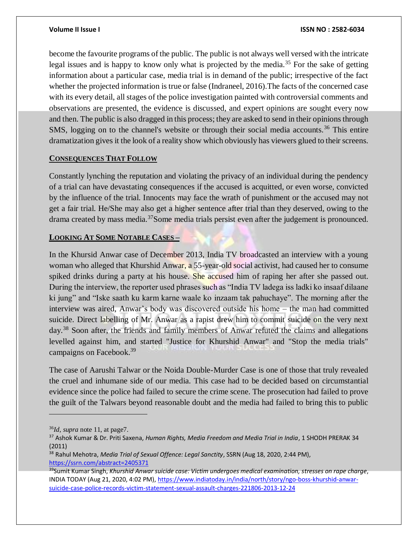become the favourite programs of the public. The public is not always well versed with the intricate legal issues and is happy to know only what is projected by the media.<sup>35</sup> For the sake of getting information about a particular case, media trial is in demand of the public; irrespective of the fact whether the projected information is true or false (Indraneel, 2016).The facts of the concerned case with its every detail, all stages of the police investigation painted with controversial comments and observations are presented, the evidence is discussed, and expert opinions are sought every now and then. The public is also dragged in this process; they are asked to send in their opinions through SMS, logging on to the channel's website or through their social media accounts.<sup>36</sup> This entire dramatization gives it the look of a reality show which obviously has viewers glued to their screens.

# **CONSEQUENCES THAT FOLLOW**

Constantly lynching the reputation and violating the privacy of an individual during the pendency of a trial can have devastating consequences if the accused is acquitted, or even worse, convicted by the influence of the trial. Innocents may face the wrath of punishment or the accused may not get a fair trial. He/She may also get a higher sentence after trial than they deserved, owing to the drama created by mass media.<sup>37</sup>Some media trials persist even after the judgement is pronounced.

# **LOOKING AT SOME NOTABLE CASES –**

In the Khursid Anwar case of December 2013, India TV broadcasted an interview with a young woman who alleged that Khurshid Anwar, a 55-year-old social activist, had caused her to consume spiked drinks during a party at his house. She accused him of raping her after she passed out. During the interview, the reporter used phrases such as "India TV ladega iss ladki ko insaaf dilaane ki jung" and "Iske saath ku karm karne waale ko inzaam tak pahuchaye". The morning after the interview was aired, Anwar's body was discovered outside his home – the man had committed suicide. Direct labelling of Mr. Anwar as a rapist drew him to commit suicide on the very next day.<sup>38</sup> Soon after, the friends and family members of Anwar refuted the claims and allegations levelled against him, and started "Justice for Khurshid Anwar" and "Stop the media trials" campaigns on Facebook.<sup>39</sup>

The case of Aarushi Talwar or the Noida Double-Murder Case is one of those that truly revealed the cruel and inhumane side of our media. This case had to be decided based on circumstantial evidence since the police had failed to secure the crime scene. The prosecution had failed to prove the guilt of the Talwars beyond reasonable doubt and the media had failed to bring this to public

<sup>36</sup>*Id, supra* note 11, at page7.

<sup>37</sup> Ashok Kumar & Dr. Priti Saxena, *Human Rights, Media Freedom and Media Trial in India*, 1 SHODH PRERAK 34 (2011)

<sup>38</sup> Rahul Mehotra, *Media Trial of Sexual Offence: Legal Sanctity*, SSRN (Aug 18, 2020, 2:44 PM), <https://ssrn.com/abstract=2405371>

<sup>39</sup>Sumit Kumar Singh, *Khurshid Anwar suicide case: Victim undergoes medical examination, stresses on rape charge*, INDIA TODAY (Aug 21, 2020, 4:02 PM), [https://www.indiatoday.in/india/north/story/ngo-boss-khurshid-anwar](https://www.indiatoday.in/india/north/story/ngo-boss-khurshid-anwar-suicide-case-police-records-victim-statement-sexual-assault-charges-221806-2013-12-24)[suicide-case-police-records-victim-statement-sexual-assault-charges-221806-2013-12-24](https://www.indiatoday.in/india/north/story/ngo-boss-khurshid-anwar-suicide-case-police-records-victim-statement-sexual-assault-charges-221806-2013-12-24)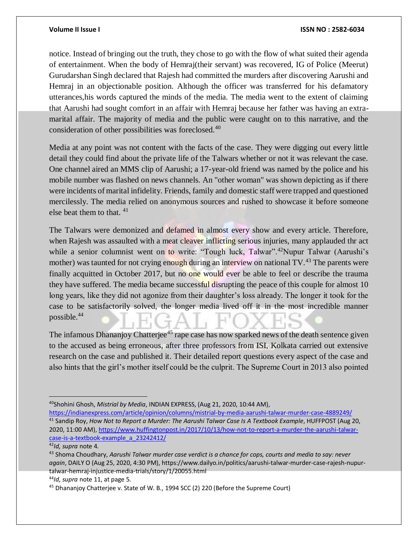notice. Instead of bringing out the truth, they chose to go with the flow of what suited their agenda of entertainment. When the body of Hemraj(their servant) was recovered, IG of Police (Meerut) Gurudarshan Singh declared that Rajesh had committed the murders after discovering Aarushi and Hemraj in an objectionable position. Although the officer was transferred for his defamatory utterances,his words captured the minds of the media. The media went to the extent of claiming that Aarushi had sought comfort in an affair with Hemraj because her father was having an extramarital affair. The majority of media and the public were caught on to this narrative, and the consideration of other possibilities was foreclosed.<sup>40</sup>

Media at any point was not content with the facts of the case. They were digging out every little detail they could find about the private life of the Talwars whether or not it was relevant the case. One channel aired an MMS clip of Aarushi; a 17-year-old friend was named by the police and his mobile number was flashed on news channels. An "other woman" was shown depicting as if there were incidents of marital infidelity. Friends, family and domestic staff were trapped and questioned mercilessly. The media relied on anonymous sources and rushed to showcase it before someone else beat them to that. <sup>41</sup>

The Talwars were demonized and defamed in almost every show and every article. Therefore, when Rajesh was assaulted with a meat cleaver inflicting serious injuries, many applauded thr act while a senior columnist went on to write: "Tough luck, Talwar".<sup>42</sup>Nupur Talwar (Aarushi's mother) was taunted for not crying enough during an interview on national TV.<sup>43</sup> The parents were finally acquitted in October 2017, but no one would ever be able to feel or describe the trauma they have suffered. The media became successful disrupting the peace of this couple for almost 10 long years, like they did not agonize from their daughter's loss already. The longer it took for the case to be satisfactorily solved, the longer media lived off it in the most incredible manner possible.<sup>44</sup>

The infamous Dhananjoy Chatterjee<sup>45</sup> rape case has now sparked news of the death sentence given to the accused as being erroneous, after three professors from ISI, Kolkata carried out extensive research on the case and published it. Their detailed report questions every aspect of the case and also hints that the girl's mother itself could be the culprit. The Supreme Court in 2013 also pointed

 $\overline{a}$ 

<sup>44</sup>*Id, supra* note 11, at page 5.

<sup>40</sup>Shohini Ghosh, *Mistrial by Media*, INDIAN EXPRESS, (Aug 21, 2020, 10:44 AM),

<https://indianexpress.com/article/opinion/columns/mistrial-by-media-aarushi-talwar-murder-case-4889249/> <sup>41</sup> Sandip Roy, *How Not to Report a Murder: The Aarushi Talwar Case Is A Textbook Example*, HUFFPOST (Aug 20, 2020, 11:00 AM)[, https://www.huffingtonpost.in/2017/10/13/how-not-to-report-a-murder-the-aarushi-talwar](https://www.huffingtonpost.in/2017/10/13/how-not-to-report-a-murder-the-aarushi-talwar-case-is-a-textbook-example_a_23242412/)[case-is-a-textbook-example\\_a\\_23242412/](https://www.huffingtonpost.in/2017/10/13/how-not-to-report-a-murder-the-aarushi-talwar-case-is-a-textbook-example_a_23242412/)

<sup>42</sup>*Id, supra* note 4.

<sup>43</sup> Shoma Choudhary, *Aarushi Talwar murder case verdict is a chance for cops, courts and media to say: never again*, DAILY O (Aug 25, 2020, 4:30 PM), https://www.dailyo.in/politics/aarushi-talwar-murder-case-rajesh-nupurtalwar-hemraj-injustice-media-trials/story/1/20055.html

<sup>&</sup>lt;sup>45</sup> Dhananjoy Chatterjee v. State of W. B., 1994 SCC (2) 220 (Before the Supreme Court)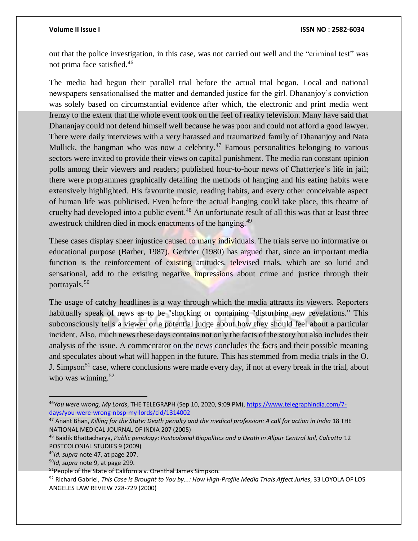out that the police investigation, in this case, was not carried out well and the "criminal test" was not prima face satisfied.<sup>46</sup>

The media had begun their parallel trial before the actual trial began. Local and national newspapers sensationalised the matter and demanded justice for the girl. Dhananjoy's conviction was solely based on circumstantial evidence after which, the electronic and print media went frenzy to the extent that the whole event took on the feel of reality television. Many have said that Dhananjay could not defend himself well because he was poor and could not afford a good lawyer. There were daily interviews with a very harassed and traumatized family of Dhananjoy and Nata Mullick, the hangman who was now a celebrity.<sup>47</sup> Famous personalities belonging to various sectors were invited to provide their views on capital punishment. The media ran constant opinion polls among their viewers and readers; published hour-to-hour news of Chatterjee's life in jail; there were programmes graphically detailing the methods of hanging and his eating habits were extensively highlighted. His favourite music, reading habits, and every other conceivable aspect of human life was publicised. Even before the actual hanging could take place, this theatre of cruelty had developed into a public event.<sup>48</sup> An unfortunate result of all this was that at least three awestruck children died in mock enactments of the hanging.<sup>49</sup>

These cases display sheer injustice caused to many individuals. The trials serve no informative or educational purpose (Barber, 1987). Gerbner (1980) has argued that, since an important media function is the reinforcement of existing attitudes, televised trials, which are so lurid and sensational, add to the existing negative impressions about crime and justice through their portrayals.<sup>50</sup>

The usage of catchy headlines is a way through which the media attracts its viewers. Reporters habitually speak of news as to be "shocking or containing "disturbing new revelations." This subconsciously tells a viewer or a potential judge about how they should feel about a particular incident. Also, much news these days contains not only the facts of the story but also includes their analysis of the issue. A commentator on the news concludes the facts and their possible meaning and speculates about what will happen in the future. This has stemmed from media trials in the O. J. Simpson<sup>51</sup> case, where conclusions were made every day, if not at every break in the trial, about who was winning. $52$ 

<sup>46</sup>*You were wrong, My Lords*, THE TELEGRAPH (Sep 10, 2020, 9:09 PM)[, https://www.telegraphindia.com/7](https://www.telegraphindia.com/7-days/you-were-wrong-nbsp-my-lords/cid/1314002) [days/you-were-wrong-nbsp-my-lords/cid/1314002](https://www.telegraphindia.com/7-days/you-were-wrong-nbsp-my-lords/cid/1314002)

<sup>47</sup> Anant Bhan, *Killing for the State: Death penalty and the medical profession: A call for action in India* 18 THE NATIONAL MEDICAL JOURNAL OF INDIA 207 (2005)

<sup>48</sup> Baidik Bhattacharya, *Public penology: Postcolonial Biopolitics and a Death in Alipur Central Jail, Calcutta* 12 POSTCOLONIAL STUDIES 9 (2009)

<sup>49</sup>*Id, supra* note 47, at page 207.

<sup>50</sup>*Id, supra* note 9, at page 299.

<sup>51</sup>People of the State of California v. Orenthal James Simpson.

<sup>&</sup>lt;sup>52</sup> Richard Gabriel, *This Case Is Brought to You by...: How High-Profile Media Trials Affect Juries*, 33 LOYOLA OF LOS ANGELES LAW REVIEW 728-729 (2000)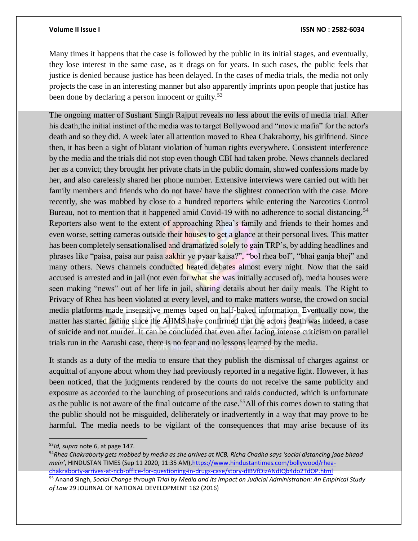Many times it happens that the case is followed by the public in its initial stages, and eventually, they lose interest in the same case, as it drags on for years. In such cases, the public feels that justice is denied because justice has been delayed. In the cases of media trials, the media not only projects the case in an interesting manner but also apparently imprints upon people that justice has been done by declaring a person innocent or guilty.<sup>53</sup>

The ongoing matter of Sushant Singh Rajput reveals no less about the evils of media trial. After his death,the initial instinct of the media was to target Bollywood and "movie mafia" for the actor's death and so they did. A week later all attention moved to Rhea Chakraborty, his girlfriend. Since then, it has been a sight of blatant violation of human rights everywhere. Consistent interference by the media and the trials did not stop even though CBI had taken probe. News channels declared her as a convict; they brought her private chats in the public domain, showed confessions made by her, and also carelessly shared her phone number. Extensive interviews were carried out with her family members and friends who do not have/ have the slightest connection with the case. More recently, she was mobbed by close to a hundred reporters while entering the Narcotics Control Bureau, not to mention that it happened amid Covid-19 with no adherence to social distancing.<sup>54</sup> Reporters also went to the extent of approaching Rhea's family and friends to their homes and even worse, setting cameras outside their houses to get a glance at their personal lives. This matter has been completely sensationalised and dramatized solely to gain TRP's, by adding headlines and phrases like "paisa, paisa aur paisa aakhir ye pyaar kaisa?", "bol rhea bol", "bhai ganja bhej" and many others. News channels conducted heated debates almost every night. Now that the said accused is arrested and in jail (not even for what she was initially accused of), media houses were seen making "news" out of her life in jail, sharing details about her daily meals. The Right to Privacy of Rhea has been violated at every level, and to make matters worse, the crowd on social media platforms made insensitive memes based on half-baked information. Eventually now, the matter has started fading since the AIIMS have confirmed that the actors death was indeed, a case of suicide and not murder. It can be concluded that even after facing intense criticism on parallel trials run in the Aarushi case, there is no fear and no lessons learned by the media.

It stands as a duty of the media to ensure that they publish the dismissal of charges against or acquittal of anyone about whom they had previously reported in a negative light. However, it has been noticed, that the judgments rendered by the courts do not receive the same publicity and exposure as accorded to the launching of prosecutions and raids conducted, which is unfortunate as the public is not aware of the final outcome of the case.<sup>55</sup>All of this comes down to stating that the public should not be misguided, deliberately or inadvertently in a way that may prove to be harmful. The media needs to be vigilant of the consequences that may arise because of its

<sup>53</sup>*Id, supra* note 6, at page 147.

<sup>54</sup>*Rhea Chakraborty gets mobbed by media as she arrives at NCB, Richa Chadha says 'social distancing jaae bhaad mein'*, HINDUSTAN TIMES (Sep 11 2020, 11:35 AM)[,https://www.hindustantimes.com/bollywood/rhea](https://www.hindustantimes.com/bollywood/rhea-chakraborty-arrives-at-ncb-office-for-questioning-in-drugs-case/story-dIBVfOizANdIQb4do2TdOP.html)[chakraborty-arrives-at-ncb-office-for-questioning-in-drugs-case/story-dIBVfOizANdIQb4do2TdOP.html](https://www.hindustantimes.com/bollywood/rhea-chakraborty-arrives-at-ncb-office-for-questioning-in-drugs-case/story-dIBVfOizANdIQb4do2TdOP.html)

<sup>55</sup> Anand Singh, *Social Change through Trial by Media and its Impact on Judicial Administration: An Empirical Study of Law* 29 JOURNAL OF NATIONAL DEVELOPMENT 162 (2016)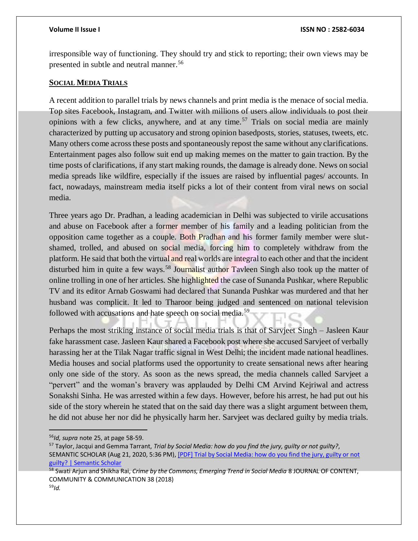irresponsible way of functioning. They should try and stick to reporting; their own views may be presented in subtle and neutral manner.<sup>56</sup>

### **SOCIAL MEDIA TRIALS**

A recent addition to parallel trials by news channels and print media is the menace of social media. Top sites Facebook, Instagram, and Twitter with millions of users allow individuals to post their opinions with a few clicks, anywhere, and at any time.<sup>57</sup> Trials on social media are mainly characterized by putting up accusatory and strong opinion basedposts, stories, statuses, tweets, etc. Many others come across these posts and spontaneously repost the same without any clarifications. Entertainment pages also follow suit end up making memes on the matter to gain traction. By the time posts of clarifications, if any start making rounds, the damage is already done. News on social media spreads like wildfire, especially if the issues are raised by influential pages/ accounts. In fact, nowadays, mainstream media itself picks a lot of their content from viral news on social media.

Three years ago Dr. Pradhan, a leading academician in Delhi was subjected to virile accusations and abuse on Facebook after a former member of his family and a leading politician from the opposition came together as a couple. Both Pradhan and his former family member were slutshamed, trolled, and abused on social media, forcing him to completely withdraw from the platform. He said that both the virtual and real worlds are integral to each other and that the incident disturbed him in quite a few ways.<sup>58</sup> Journalist author Tayleen Singh also took up the matter of online trolling in one of her articles. She highlighted the case of Sunanda Pushkar, where Republic TV and its editor Arnab Goswami had declared that Sunanda Pushkar was murdered and that her husband was complicit. It led to Tharoor being judged and sentenced on national television followed with accusations and hate speech on social media.<sup>59</sup>

Perhaps the most striking instance of social media trials is that of Sarvjeet Singh – Jasleen Kaur fake harassment case. Jasleen Kaur shared a Facebook post where she accused Sarvjeet of verbally harassing her at the Tilak Nagar traffic signal in West Delhi; the incident made national headlines. Media houses and social platforms used the opportunity to create sensational news after hearing only one side of the story. As soon as the news spread, the media channels called Sarvjeet a "pervert" and the woman's bravery was applauded by Delhi CM Arvind Kejriwal and actress Sonakshi Sinha. He was arrested within a few days. However, before his arrest, he had put out his side of the story wherein he stated that on the said day there was a slight argument between them, he did not abuse her nor did he physically harm her. Sarvjeet was declared guilty by media trials.

<sup>56</sup>*Id, supra* note 25, at page 58-59.

<sup>57</sup> Taylor, Jacqui and Gemma Tarrant, *Trial by Social Media: how do you find the jury, guilty or not guilty?*, SEMANTIC SCHOLAR (Aug 21, 2020, 5:36 PM)[, \[PDF\] Trial by Social Media: how do you find the jury, guilty or not](https://www.semanticscholar.org/paper/Trial-by-Social-Media%3A-how-do-you-find-the-jury%2C-or-Taylor-Tarrant/747946002d4ec106723e9242d6ba1c729e851724)  [guilty? | Semantic Scholar](https://www.semanticscholar.org/paper/Trial-by-Social-Media%3A-how-do-you-find-the-jury%2C-or-Taylor-Tarrant/747946002d4ec106723e9242d6ba1c729e851724)

<sup>58</sup> Swati Arjun and Shikha Rai, *Crime by the Commons, Emerging Trend in Social Media* 8 JOURNAL OF CONTENT, COMMUNITY & COMMUNICATION 38 (2018) 59*Id.*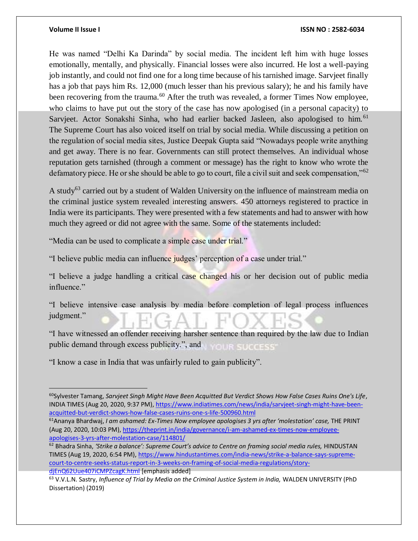$\overline{a}$ 

He was named "Delhi Ka Darinda" by social media. The incident left him with huge losses emotionally, mentally, and physically. Financial losses were also incurred. He lost a well-paying job instantly, and could not find one for a long time because of his tarnished image. Sarvjeet finally has a job that pays him Rs. 12,000 (much lesser than his previous salary); he and his family have been recovering from the trauma.<sup>60</sup> After the truth was revealed, a former Times Now employee, who claims to have put out the story of the case has now apologised (in a personal capacity) to Sarvjeet. Actor Sonakshi Sinha, who had earlier backed Jasleen, also apologised to him.<sup>61</sup> The Supreme Court has also voiced itself on trial by social media. While discussing a petition on the regulation of social media sites, Justice Deepak Gupta said "Nowadays people write anything and get away. There is no fear. Governments can still protect themselves. An individual whose reputation gets tarnished (through a comment or message) has the right to know who wrote the defamatory piece. He or she should be able to go to court, file a civil suit and seek compensation,"<sup>62</sup>

A study<sup>63</sup> carried out by a student of Walden University on the influence of mainstream media on the criminal justice system revealed interesting answers. 450 attorneys registered to practice in India were its participants. They were presented with a few statements and had to answer with how much they agreed or did not agree with the same. Some of the statements included:

"Media can be used to complicate a simple case under trial."

"I believe public media can influence judges' perception of a case under trial."

"I believe a judge handling a critical case changed his or her decision out of public media influence."

"I believe intensive case analysis by media before completion of legal process influences judgment."

"I have witnessed an offender receiving harsher sentence than required by the law due to Indian public demand through excess publicity.", and **OUR SUCCESS** 

"I know a case in India that was unfairly ruled to gain publicity".

<sup>60</sup>Sylvester Tamang, *Sarvjeet Singh Might Have Been Acquitted But Verdict Shows How False Cases Ruins One's Life*, INDIA TIMES (Aug 20, 2020, 9:37 PM), [https://www.indiatimes.com/news/india/sarvjeet-singh-might-have-been](https://www.indiatimes.com/news/india/sarvjeet-singh-might-have-been-acquitted-but-verdict-shows-how-false-cases-ruins-one-s-life-500960.html)[acquitted-but-verdict-shows-how-false-cases-ruins-one-s-life-500960.html](https://www.indiatimes.com/news/india/sarvjeet-singh-might-have-been-acquitted-but-verdict-shows-how-false-cases-ruins-one-s-life-500960.html)

<sup>61</sup>Ananya Bhardwaj, *I am ashamed: Ex-Times Now employee apologises 3 yrs after 'molestation' case,* THE PRINT (Aug 20, 2020, 10:03 PM)[, https://theprint.in/india/governance/i-am-ashamed-ex-times-now-employee](https://theprint.in/india/governance/i-am-ashamed-ex-times-now-employee-apologises-3-yrs-after-molestation-case/114801/)[apologises-3-yrs-after-molestation-case/114801/](https://theprint.in/india/governance/i-am-ashamed-ex-times-now-employee-apologises-3-yrs-after-molestation-case/114801/)

<sup>62</sup> Bhadra Sinha, *'Strike a balance': Supreme Court's advice to Centre on framing social media rules,* HINDUSTAN TIMES (Aug 19, 2020, 6:54 PM)[, https://www.hindustantimes.com/india-news/strike-a-balance-says-supreme](https://www.hindustantimes.com/india-news/strike-a-balance-says-supreme-court-to-centre-seeks-status-report-in-3-weeks-on-framing-of-social-media-regulations/story-djEnQ62Uue407iCMPZcagK.html)[court-to-centre-seeks-status-report-in-3-weeks-on-framing-of-social-media-regulations/story](https://www.hindustantimes.com/india-news/strike-a-balance-says-supreme-court-to-centre-seeks-status-report-in-3-weeks-on-framing-of-social-media-regulations/story-djEnQ62Uue407iCMPZcagK.html)[djEnQ62Uue407iCMPZcagK.html](https://www.hindustantimes.com/india-news/strike-a-balance-says-supreme-court-to-centre-seeks-status-report-in-3-weeks-on-framing-of-social-media-regulations/story-djEnQ62Uue407iCMPZcagK.html) [emphasis added]

<sup>63</sup> V.V.L.N. Sastry, *Influence of Trial by Media on the Criminal Justice System in India,* WALDEN UNIVERSITY (PhD Dissertation) (2019)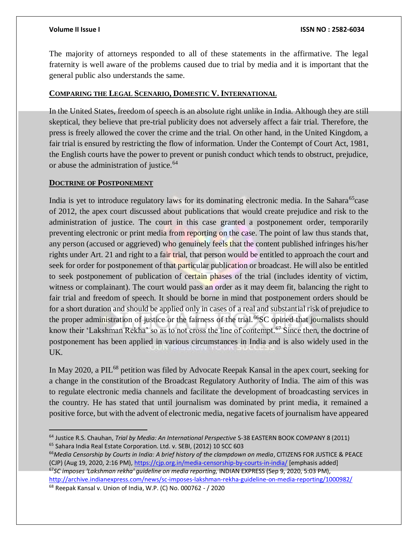The majority of attorneys responded to all of these statements in the affirmative. The legal fraternity is well aware of the problems caused due to trial by media and it is important that the general public also understands the same.

# **COMPARING THE LEGAL SCENARIO, DOMESTIC V. INTERNATIONAL**

In the United States, freedom of speech is an absolute right unlike in India. Although they are still skeptical, they believe that pre-trial publicity does not adversely affect a fair trial. Therefore, the press is freely allowed the cover the crime and the trial. On other hand, in the United Kingdom, a fair trial is ensured by restricting the flow of information. Under the Contempt of Court Act, 1981, the English courts have the power to prevent or punish conduct which tends to obstruct, prejudice, or abuse the administration of justice.<sup>64</sup>

### **DOCTRINE OF POSTPONEMENT**

India is yet to introduce regulatory laws for its dominating electronic media. In the Sahara<sup>65</sup>case of 2012, the apex court discussed about publications that would create prejudice and risk to the administration of justice. The court in this case granted a postponement order, temporarily preventing electronic or print media from reporting on the case. The point of law thus stands that, any person (accused or aggrieved) who genuinely feels that the content published infringes his/her rights under Art. 21 and right to a fair trial, that person would be entitled to approach the court and seek for order for postponement of that particular publication or broadcast. He will also be entitled to seek postponement of publication of certain phases of the trial (includes identity of victim, witness or complainant). The court would pass an order as it may deem fit, balancing the right to fair trial and freedom of speech. It should be borne in mind that postponement orders should be for a short duration and should be applied only in cases of a real and substantial risk of prejudice to the proper administration of justice or the fairness of the trial.<sup>66</sup>SC opined that journalists should know their 'Lakshman Rekha' so as to not cross the line of contempt.<sup>67</sup> Since then, the doctrine of postponement has been applied in various circumstances in India and is also widely used in the UK.

In May 2020, a PIL<sup>68</sup> petition was filed by Advocate Reepak Kansal in the apex court, seeking for a change in the constitution of the Broadcast Regulatory Authority of India. The aim of this was to regulate electronic media channels and facilitate the development of broadcasting services in the country. He has stated that until journalism was dominated by print media, it remained a positive force, but with the advent of electronic media, negative facets of journalism have appeared

<sup>66</sup>*Media Censorship by Courts in India: A brief history of the clampdown on media*, CITIZENS FOR JUSTICE & PEACE (CJP) (Aug 19, 2020, 2:16 PM)[, https://cjp.org.in/media-censorship-by-courts-in-india/](https://cjp.org.in/media-censorship-by-courts-in-india/) [emphasis added] <sup>67</sup>*SC imposes 'Lakshman rekha' guideline on media reporting,* INDIAN EXPRESS (Sep 9, 2020, 5:03 PM), <http://archive.indianexpress.com/news/sc-imposes-lakshman-rekha-guideline-on-media-reporting/1000982/>

<sup>68</sup> Reepak Kansal v. Union of India, W.P. (C) No. 000762 - / 2020

 $\overline{a}$ <sup>64</sup> Justice R.S. Chauhan, *Trial by Media: An International Perspective* S-38 EASTERN BOOK COMPANY 8 (2011) <sup>65</sup> Sahara India Real Estate Corporation. Ltd. v. SEBI, (2012) 10 SCC 603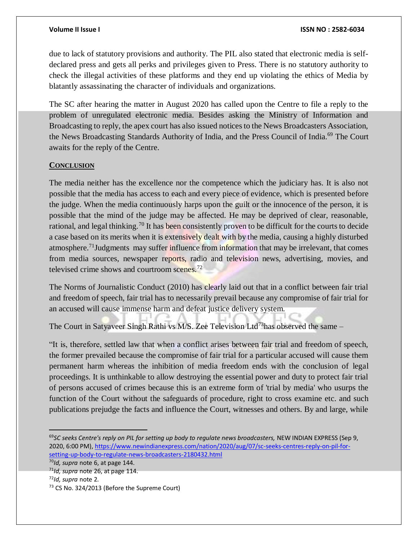due to lack of statutory provisions and authority. The PIL also stated that electronic media is selfdeclared press and gets all perks and privileges given to Press. There is no statutory authority to check the illegal activities of these platforms and they end up violating the ethics of Media by blatantly assassinating the character of individuals and organizations.

The SC after hearing the matter in August 2020 has called upon the Centre to file a reply to the problem of unregulated electronic media. Besides asking the Ministry of Information and Broadcasting to reply, the apex court has also issued notices to the News Broadcasters Association, the News Broadcasting Standards Authority of India, and the Press Council of India.<sup>69</sup> The Court awaits for the reply of the Centre.

# **CONCLUSION**

The media neither has the excellence nor the competence which the judiciary has. It is also not possible that the media has access to each and every piece of evidence, which is presented before the judge. When the media continuously harps upon the guilt or the innocence of the person, it is possible that the mind of the judge may be affected. He may be deprived of clear, reasonable, rational, and legal thinking.<sup>70</sup> It has been consistently proven to be difficult for the courts to decide a case based on its merits when it is extensively dealt with by the media, causing a highly disturbed atmosphere.<sup>71</sup>Judgments may suffer influence from information that may be irrelevant, that comes from media sources, newspaper reports, radio and television news, advertising, movies, and televised crime shows and courtroom scenes.<sup>72</sup>

The Norms of Journalistic Conduct (2010) has clearly laid out that in a conflict between fair trial and freedom of speech, fair trial has to necessarily prevail because any compromise of fair trial for an accused will cause immense harm and defeat justice delivery system.

The Court in Satyaveer Singh Rathi vs M/S. Zee Television Ltd<sup>73</sup>has observed the same –

"It is, therefore, settled law that when a conflict arises between fair trial and freedom of speech, the former prevailed because the compromise of fair trial for a particular accused will cause them permanent harm whereas the inhibition of media freedom ends with the conclusion of legal proceedings. It is unthinkable to allow destroying the essential power and duty to protect fair trial of persons accused of crimes because this is an extreme form of 'trial by media' who usurps the function of the Court without the safeguards of procedure, right to cross examine etc. and such publications prejudge the facts and influence the Court, witnesses and others. By and large, while

<sup>69</sup>*SC seeks Centre's reply on PIL for setting up body to regulate news broadcasters,* NEW INDIAN EXPRESS (Sep 9, 2020, 6:00 PM)[, https://www.newindianexpress.com/nation/2020/aug/07/sc-seeks-centres-reply-on-pil-for](https://www.newindianexpress.com/nation/2020/aug/07/sc-seeks-centres-reply-on-pil-for-setting-up-body-to-regulate-news-broadcasters-2180432.html)[setting-up-body-to-regulate-news-broadcasters-2180432.html](https://www.newindianexpress.com/nation/2020/aug/07/sc-seeks-centres-reply-on-pil-for-setting-up-body-to-regulate-news-broadcasters-2180432.html)

<sup>70</sup>*Id, supra* note 6, at page 144.

<sup>71</sup>*Id, supra* note 26, at page 114.

<sup>72</sup>*Id, supra* note 2.

<sup>73</sup> CS No. 324/2013 (Before the Supreme Court)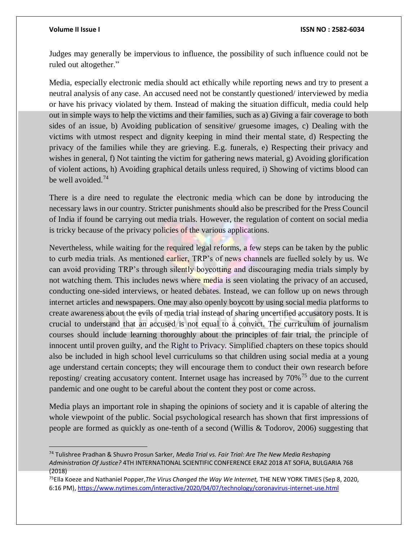$\overline{a}$ 

### **Volume II Issue I ISSN NO : 2582-6034**

Judges may generally be impervious to influence, the possibility of such influence could not be ruled out altogether."

Media, especially electronic media should act ethically while reporting news and try to present a neutral analysis of any case. An accused need not be constantly questioned/ interviewed by media or have his privacy violated by them. Instead of making the situation difficult, media could help out in simple ways to help the victims and their families, such as a) Giving a fair coverage to both sides of an issue, b) Avoiding publication of sensitive/ gruesome images, c) Dealing with the victims with utmost respect and dignity keeping in mind their mental state, d) Respecting the privacy of the families while they are grieving. E.g. funerals, e) Respecting their privacy and wishes in general, f) Not tainting the victim for gathering news material, g) Avoiding glorification of violent actions, h) Avoiding graphical details unless required, i) Showing of victims blood can be well avoided.<sup>74</sup>

There is a dire need to regulate the electronic media which can be done by introducing the necessary laws in our country. Stricter punishments should also be prescribed for the Press Council of India if found be carrying out media trials. However, the regulation of content on social media is tricky because of the privacy policies of the various applications.

Nevertheless, while waiting for the required legal reforms, a few steps can be taken by the public to curb media trials. As mentioned earlier, TRP's of news channels are fuelled solely by us. We can avoid providing TRP's through silently boycotting and discouraging media trials simply by not watching them. This includes news where media is seen violating the privacy of an accused, conducting one-sided interviews, or heated debates. Instead, we can follow up on news through internet articles and newspapers. One may also openly boycott by using social media platforms to create awareness about the evils of media trial instead of sharing uncertified accusatory posts. It is crucial to understand that an accused is not equal to a convict. The curriculum of journalism courses should include learning thoroughly about the principles of fair trial, the principle of innocent until proven guilty, and the Right to Privacy. Simplified chapters on these topics should also be included in high school level curriculums so that children using social media at a young age understand certain concepts; they will encourage them to conduct their own research before reposting/ creating accusatory content. Internet usage has increased by 70%<sup>75</sup> due to the current pandemic and one ought to be careful about the content they post or come across.

Media plays an important role in shaping the opinions of society and it is capable of altering the whole viewpoint of the public. Social psychological research has shown that first impressions of people are formed as quickly as one-tenth of a second (Willis & Todorov, 2006) suggesting that

<sup>74</sup> Tulishree Pradhan & Shuvro Prosun Sarker, *Media Trial vs. Fair Trial: Are The New Media Reshaping Administration Of Justice?* 4TH INTERNATIONAL SCIENTIFIC CONFERENCE ERAZ 2018 AT SOFIA, BULGARIA 768 (2018)

<sup>75</sup>Ella Koeze and Nathaniel Popper,*The Virus Changed the Way We Internet,* THE NEW YORK TIMES (Sep 8, 2020, 6:16 PM)[, https://www.nytimes.com/interactive/2020/04/07/technology/coronavirus-internet-use.html](https://www.nytimes.com/interactive/2020/04/07/technology/coronavirus-internet-use.html)